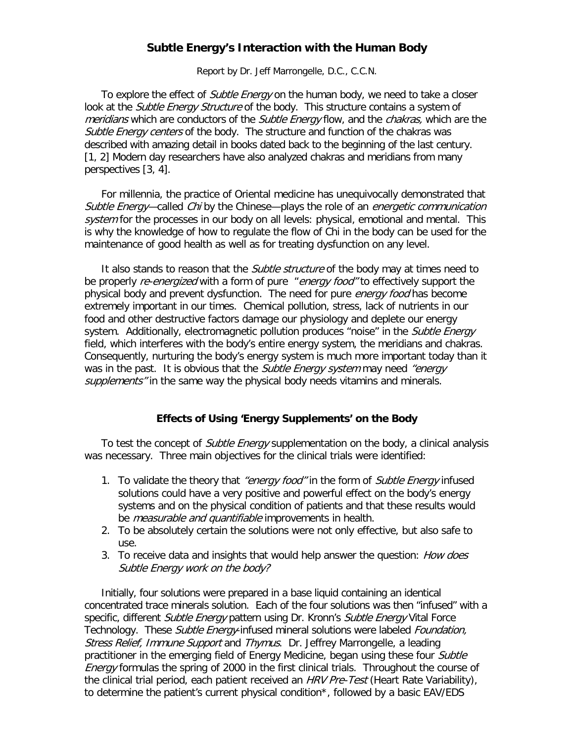# **Subtle Energy's Interaction with the Human Body**

Report by Dr. Jeff Marrongelle, D.C., C.C.N.

To explore the effect of *Subtle Energy* on the human body, we need to take a closer look at the *Subtle Energy Structure* of the body. This structure contains a system of meridians which are conductors of the *Subtle Energy* flow, and the *chakras*, which are the Subtle Energy centers of the body. The structure and function of the chakras was described with amazing detail in books dated back to the beginning of the last century. [1, 2] Modern day researchers have also analyzed chakras and meridians from many perspectives [3, 4].

For millennia, the practice of Oriental medicine has unequivocally demonstrated that Subtle Energy—called Chi by the Chinese—plays the role of an *energetic communication* system for the processes in our body on all levels: physical, emotional and mental. This is why the knowledge of how to regulate the flow of Chi in the body can be used for the maintenance of good health as well as for treating dysfunction on any level.

It also stands to reason that the *Subtle structure* of the body may at times need to be properly re-energized with a form of pure "energy food" to effectively support the physical body and prevent dysfunction. The need for pure *energy food* has become extremely important in our times. Chemical pollution, stress, lack of nutrients in our food and other destructive factors damage our physiology and deplete our energy system. Additionally, electromagnetic pollution produces "noise" in the Subtle Energy field, which interferes with the body's entire energy system, the meridians and chakras. Consequently, nurturing the body's energy system is much more important today than it was in the past. It is obvious that the *Subtle Energy system* may need "energy" supplements" in the same way the physical body needs vitamins and minerals.

### **Effects of Using 'Energy Supplements' on the Body**

To test the concept of *Subtle Energy* supplementation on the body, a clinical analysis was necessary. Three main objectives for the clinical trials were identified:

- 1. To validate the theory that *"energy food"* in the form of *Subtle Energy* infused solutions could have a very positive and powerful effect on the body's energy systems and on the physical condition of patients and that these results would be *measurable and quantifiable* improvements in health.
- 2. To be absolutely certain the solutions were not only effective, but also safe to use.
- 3. To receive data and insights that would help answer the question: *How does* Subtle Energy work on the body?

Initially, four solutions were prepared in a base liquid containing an identical concentrated trace minerals solution. Each of the four solutions was then "infused" with a specific, different Subtle Energy pattern using Dr. Kronn's Subtle Energy Vital Force Technology. These Subtle Energy-infused mineral solutions were labeled Foundation, Stress Relief, Immune Support and Thymus. Dr. Jeffrey Marrongelle, a leading practitioner in the emerging field of Energy Medicine, began using these four Subtle Energy formulas the spring of 2000 in the first clinical trials. Throughout the course of the clinical trial period, each patient received an HRV Pre-Test (Heart Rate Variability), to determine the patient's current physical condition\*, followed by a basic EAV/EDS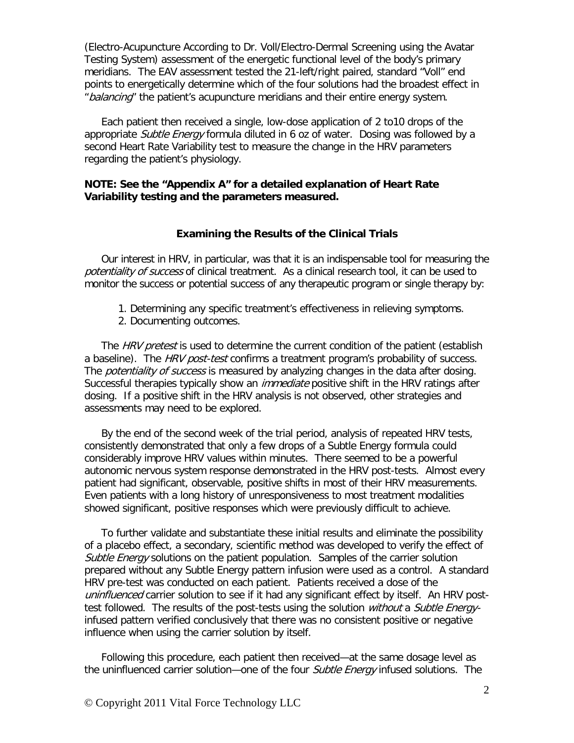(Electro-Acupuncture According to Dr. Voll/Electro-Dermal Screening using the Avatar Testing System) assessment of the energetic functional level of the body's primary meridians. The EAV assessment tested the 21-left/right paired, standard "Voll" end points to energetically determine which of the four solutions had the broadest effect in "balancing" the patient's acupuncture meridians and their entire energy system.

Each patient then received a single, low-dose application of 2 to10 drops of the appropriate Subtle Energy formula diluted in 6 oz of water. Dosing was followed by a second Heart Rate Variability test to measure the change in the HRV parameters regarding the patient's physiology.

# **NOTE: See the "Appendix A" for a detailed explanation of Heart Rate Variability testing and the parameters measured.**

### **Examining the Results of the Clinical Trials**

Our interest in HRV, in particular, was that it is an indispensable tool for measuring the potentiality of success of clinical treatment. As a clinical research tool, it can be used to monitor the success or potential success of any therapeutic program or single therapy by:

- 1. Determining any specific treatment's effectiveness in relieving symptoms.
- 2. Documenting outcomes.

The HRV pretest is used to determine the current condition of the patient (establish a baseline). The HRV post-test confirms a treatment program's probability of success. The *potentiality of success* is measured by analyzing changes in the data after dosing. Successful therapies typically show an *immediate* positive shift in the HRV ratings after dosing. If a positive shift in the HRV analysis is not observed, other strategies and assessments may need to be explored.

By the end of the second week of the trial period, analysis of repeated HRV tests, consistently demonstrated that only a few drops of a Subtle Energy formula could considerably improve HRV values within minutes. There seemed to be a powerful autonomic nervous system response demonstrated in the HRV post-tests. Almost every patient had significant, observable, positive shifts in most of their HRV measurements. Even patients with a long history of unresponsiveness to most treatment modalities showed significant, positive responses which were previously difficult to achieve.

To further validate and substantiate these initial results and eliminate the possibility of a placebo effect, a secondary, scientific method was developed to verify the effect of Subtle Energy solutions on the patient population. Samples of the carrier solution prepared without any Subtle Energy pattern infusion were used as a control. A standard HRV pre-test was conducted on each patient. Patients received a dose of the uninfluenced carrier solution to see if it had any significant effect by itself. An HRV posttest followed. The results of the post-tests using the solution *without* a *Subtle Energy*infused pattern verified conclusively that there was no consistent positive or negative influence when using the carrier solution by itself.

Following this procedure, each patient then received—at the same dosage level as the uninfluenced carrier solution—one of the four *Subtle Energy* infused solutions. The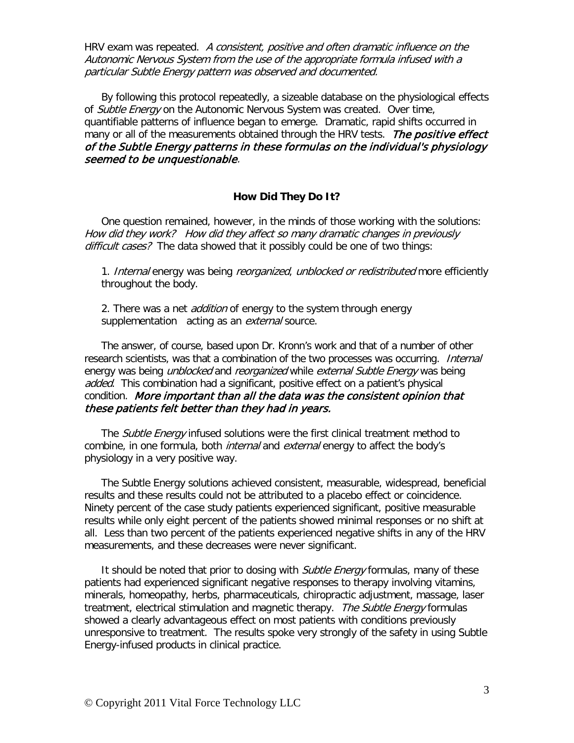HRV exam was repeated. A consistent, positive and often dramatic influence on the Autonomic Nervous System from the use of the appropriate formula infused with a particular Subtle Energy pattern was observed and documented.

By following this protocol repeatedly, a sizeable database on the physiological effects of Subtle Energy on the Autonomic Nervous System was created. Over time, quantifiable patterns of influence began to emerge. Dramatic, rapid shifts occurred in many or all of the measurements obtained through the HRV tests. The positive effect of the Subtle Energy patterns in these formulas on the individual's physiology seemed to be unquestionable.

#### **How Did They Do It?**

One question remained, however, in the minds of those working with the solutions: How did they work? How did they affect so many dramatic changes in previously difficult cases? The data showed that it possibly could be one of two things:

1. Internal energy was being reorganized, unblocked or redistributed more efficiently throughout the body.

2. There was a net *addition* of energy to the system through energy supplementation acting as an *external* source.

The answer, of course, based upon Dr. Kronn's work and that of a number of other research scientists, was that a combination of the two processes was occurring. *Internal* energy was being *unblocked* and *reorganized* while external Subtle Energy was being added. This combination had a significant, positive effect on a patient's physical condition. More important than all the data was the consistent opinion that these patients felt better than they had in years.

The Subtle Energy infused solutions were the first clinical treatment method to combine, in one formula, both *internal* and *external* energy to affect the body's physiology in a very positive way.

The Subtle Energy solutions achieved consistent, measurable, widespread, beneficial results and these results could not be attributed to a placebo effect or coincidence. Ninety percent of the case study patients experienced significant, positive measurable results while only eight percent of the patients showed minimal responses or no shift at all. Less than two percent of the patients experienced negative shifts in any of the HRV measurements, and these decreases were never significant.

It should be noted that prior to dosing with *Subtle Energy* formulas, many of these patients had experienced significant negative responses to therapy involving vitamins, minerals, homeopathy, herbs, pharmaceuticals, chiropractic adjustment, massage, laser treatment, electrical stimulation and magnetic therapy. The Subtle Energy formulas showed a clearly advantageous effect on most patients with conditions previously unresponsive to treatment. The results spoke very strongly of the safety in using Subtle Energy-infused products in clinical practice.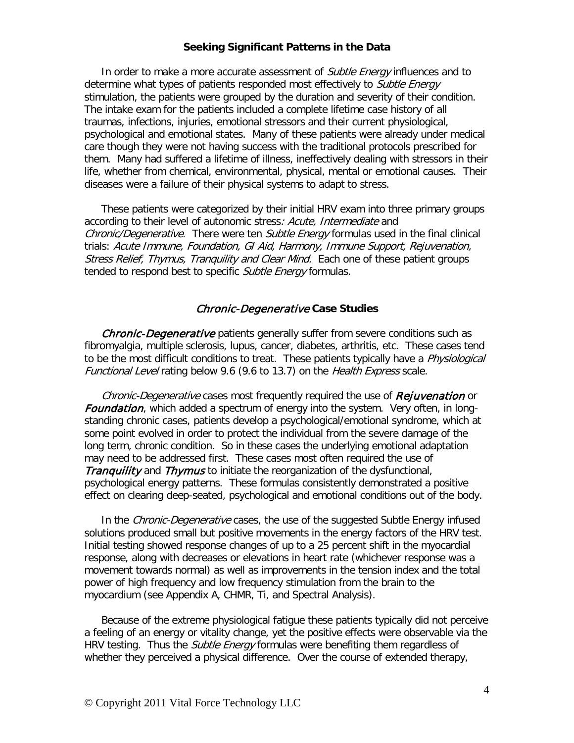#### **Seeking Significant Patterns in the Data**

In order to make a more accurate assessment of *Subtle Energy* influences and to determine what types of patients responded most effectively to *Subtle Energy* stimulation, the patients were grouped by the duration and severity of their condition. The intake exam for the patients included a complete lifetime case history of all traumas, infections, injuries, emotional stressors and their current physiological, psychological and emotional states. Many of these patients were already under medical care though they were not having success with the traditional protocols prescribed for them. Many had suffered a lifetime of illness, ineffectively dealing with stressors in their life, whether from chemical, environmental, physical, mental or emotional causes. Their diseases were a failure of their physical systems to adapt to stress.

These patients were categorized by their initial HRV exam into three primary groups according to their level of autonomic stress: Acute, Intermediate and Chronic/Degenerative. There were ten Subtle Energy formulas used in the final clinical trials: Acute Immune, Foundation, GI Aid, Harmony, Immune Support, Rejuvenation, Stress Relief, Thymus, Tranquility and Clear Mind. Each one of these patient groups tended to respond best to specific Subtle Energy formulas.

### Chronic-Degenerative **Case Studies**

**Chronic-Degenerative** patients generally suffer from severe conditions such as fibromyalgia, multiple sclerosis, lupus, cancer, diabetes, arthritis, etc. These cases tend to be the most difficult conditions to treat. These patients typically have a *Physiological* Functional Level rating below 9.6 (9.6 to 13.7) on the Health Express scale.

Chronic-Degenerative cases most frequently required the use of **Rejuvenation** or **Foundation**, which added a spectrum of energy into the system. Very often, in longstanding chronic cases, patients develop a psychological/emotional syndrome, which at some point evolved in order to protect the individual from the severe damage of the long term, chronic condition. So in these cases the underlying emotional adaptation may need to be addressed first. These cases most often required the use of **Tranquility** and Thymus to initiate the reorganization of the dysfunctional, psychological energy patterns. These formulas consistently demonstrated a positive effect on clearing deep-seated, psychological and emotional conditions out of the body.

In the Chronic-Degenerative cases, the use of the suggested Subtle Energy infused solutions produced small but positive movements in the energy factors of the HRV test. Initial testing showed response changes of up to a 25 percent shift in the myocardial response, along with decreases or elevations in heart rate (whichever response was a movement towards normal) as well as improvements in the tension index and the total power of high frequency and low frequency stimulation from the brain to the myocardium (see Appendix A, CHMR, Ti, and Spectral Analysis).

Because of the extreme physiological fatigue these patients typically did not perceive a feeling of an energy or vitality change, yet the positive effects were observable via the HRV testing. Thus the *Subtle Energy* formulas were benefiting them regardless of whether they perceived a physical difference. Over the course of extended therapy,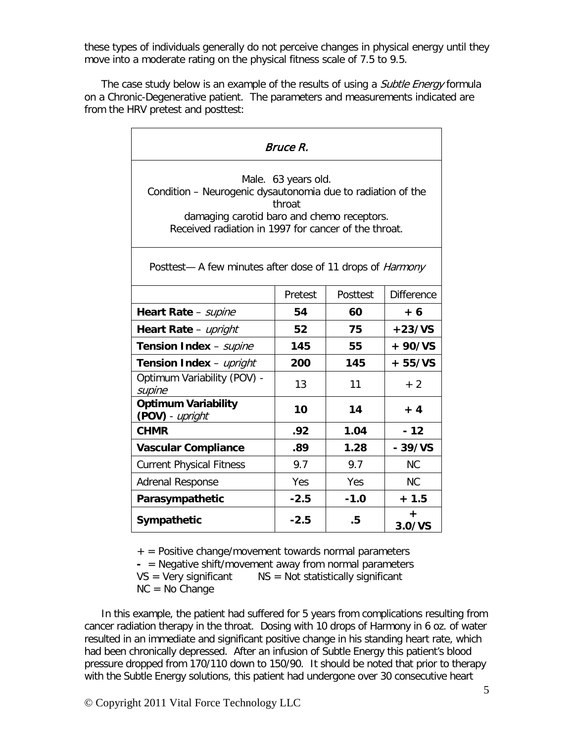these types of individuals generally do not perceive changes in physical energy until they move into a moderate rating on the physical fitness scale of 7.5 to 9.5.

The case study below is an example of the results of using a *Subtle Energy* formula on a Chronic-Degenerative patient. The parameters and measurements indicated are from the HRV pretest and posttest:

| <i>Bruce R.</i>                                                                                                                                                                                    |         |          |                   |
|----------------------------------------------------------------------------------------------------------------------------------------------------------------------------------------------------|---------|----------|-------------------|
| Male. 63 years old.<br>Condition - Neurogenic dysautonomia due to radiation of the<br>throat<br>damaging carotid baro and chemo receptors.<br>Received radiation in 1997 for cancer of the throat. |         |          |                   |
| Posttest- A few minutes after dose of 11 drops of Harmony                                                                                                                                          |         |          |                   |
|                                                                                                                                                                                                    | Pretest | Posttest | <b>Difference</b> |
| Heart Rate - supine                                                                                                                                                                                | 54      | 60       | $+6$              |
| Heart Rate - upright                                                                                                                                                                               | 52      | 75       | $+23/VS$          |
| Tension Index - supine                                                                                                                                                                             | 145     | 55       | $+90/VS$          |
| Tension Index - upright                                                                                                                                                                            | 200     | 145      | $+55/VS$          |
| Optimum Variability (POV) -<br>supine                                                                                                                                                              | 13      | 11       | $+2$              |
| <b>Optimum Variability</b><br>(POV) - upright                                                                                                                                                      | 10      | 14       | $+4$              |
| <b>CHMR</b>                                                                                                                                                                                        | .92     | 1.04     | $-12$             |
| <b>Vascular Compliance</b>                                                                                                                                                                         | .89     | 1.28     | $-39/VS$          |
| <b>Current Physical Fitness</b>                                                                                                                                                                    | 9.7     | 9.7      | <b>NC</b>         |
| <b>Adrenal Response</b>                                                                                                                                                                            | Yes     | Yes      | NC                |
| Parasympathetic                                                                                                                                                                                    | $-2.5$  | $-1.0$   | $+1.5$            |
| Sympathetic                                                                                                                                                                                        | $-2.5$  | .5       | +<br>3.0/VS       |

 $+$  = Positive change/movement towards normal parameters

**-** = Negative shift/movement away from normal parameters

 $VS = V$ ery significant  $NS = Not$  statistically significant

NC = No Change

In this example, the patient had suffered for 5 years from complications resulting from cancer radiation therapy in the throat. Dosing with 10 drops of Harmony in 6 oz. of water resulted in an immediate and significant positive change in his standing heart rate, which had been chronically depressed. After an infusion of Subtle Energy this patient's blood pressure dropped from 170/110 down to 150/90. It should be noted that prior to therapy with the Subtle Energy solutions, this patient had undergone over 30 consecutive heart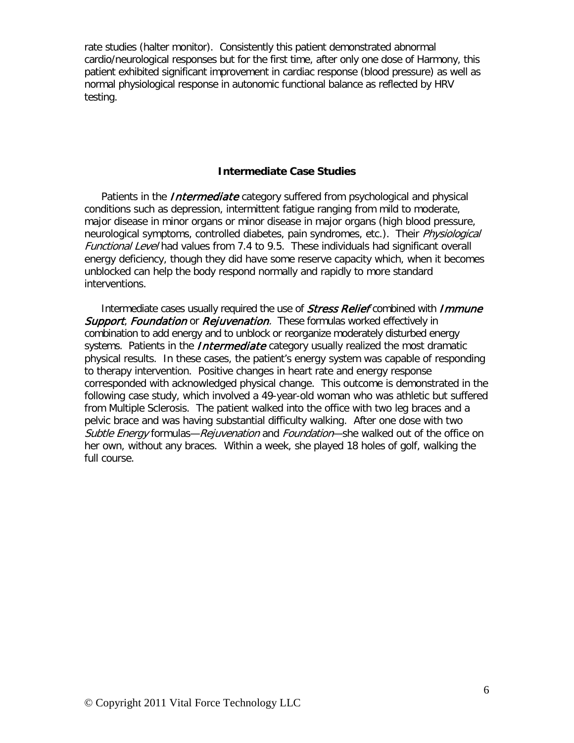rate studies (halter monitor). Consistently this patient demonstrated abnormal cardio/neurological responses but for the first time, after only one dose of Harmony, this patient exhibited significant improvement in cardiac response (blood pressure) as well as normal physiological response in autonomic functional balance as reflected by HRV testing.

#### **Intermediate Case Studies**

Patients in the *Intermediate* category suffered from psychological and physical conditions such as depression, intermittent fatigue ranging from mild to moderate, major disease in minor organs or minor disease in major organs (high blood pressure, neurological symptoms, controlled diabetes, pain syndromes, etc.). Their *Physiological* Functional Level had values from 7.4 to 9.5. These individuals had significant overall energy deficiency, though they did have some reserve capacity which, when it becomes unblocked can help the body respond normally and rapidly to more standard interventions.

Intermediate cases usually required the use of *Stress Relief* combined with *Immune* Support, Foundation or Rejuvenation. These formulas worked effectively in combination to add energy and to unblock or reorganize moderately disturbed energy systems. Patients in the *Intermediate* category usually realized the most dramatic physical results. In these cases, the patient's energy system was capable of responding to therapy intervention. Positive changes in heart rate and energy response corresponded with acknowledged physical change. This outcome is demonstrated in the following case study, which involved a 49-year-old woman who was athletic but suffered from Multiple Sclerosis. The patient walked into the office with two leg braces and a pelvic brace and was having substantial difficulty walking. After one dose with two Subtle Energy formulas—Rejuvenation and Foundation—she walked out of the office on her own, without any braces. Within a week, she played 18 holes of golf, walking the full course.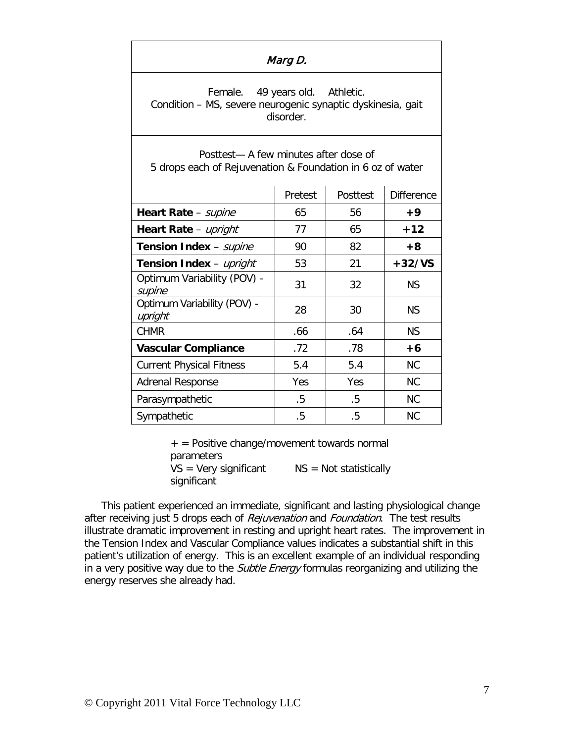| Marg D.                                                                                                     |         |          |                   |
|-------------------------------------------------------------------------------------------------------------|---------|----------|-------------------|
| Female. 49 years old. Athletic.<br>Condition - MS, severe neurogenic synaptic dyskinesia, gait<br>disorder. |         |          |                   |
| Posttest— A few minutes after dose of<br>5 drops each of Rejuvenation & Foundation in 6 oz of water         |         |          |                   |
|                                                                                                             | Pretest | Posttest | <b>Difference</b> |
| Heart Rate - supine                                                                                         | 65      | 56       | $+9$              |
| Heart Rate - upright                                                                                        | 77      | 65       | $+12$             |
| Tension Index - supine                                                                                      | 90      | 82       | $+8$              |
| 53<br>21<br>$+32/VS$<br>Tension Index - upright                                                             |         |          |                   |
| Optimum Variability (POV) -<br>supine                                                                       | 31      | 32       | <b>NS</b>         |
| Optimum Variability (POV) -<br>upright                                                                      | 28      | 30       | <b>NS</b>         |
| <b>CHMR</b>                                                                                                 | .66     | .64      | <b>NS</b>         |
| <b>Vascular Compliance</b>                                                                                  | .72     | .78      | $+6$              |
| <b>Current Physical Fitness</b>                                                                             | 5.4     | 5.4      | <b>NC</b>         |
| Adrenal Response                                                                                            | Yes     | Yes      | <b>NC</b>         |
| Parasympathetic                                                                                             | .5      | .5       | <b>NC</b>         |
| Sympathetic                                                                                                 | .5      | .5       | <b>NC</b>         |

+ = Positive change/movement towards normal parameters  $VS = Very significant$   $NS = Not statistically$ significant

This patient experienced an immediate, significant and lasting physiological change after receiving just 5 drops each of Rejuvenation and Foundation. The test results illustrate dramatic improvement in resting and upright heart rates. The improvement in the Tension Index and Vascular Compliance values indicates a substantial shift in this patient's utilization of energy. This is an excellent example of an individual responding in a very positive way due to the Subtle Energy formulas reorganizing and utilizing the energy reserves she already had.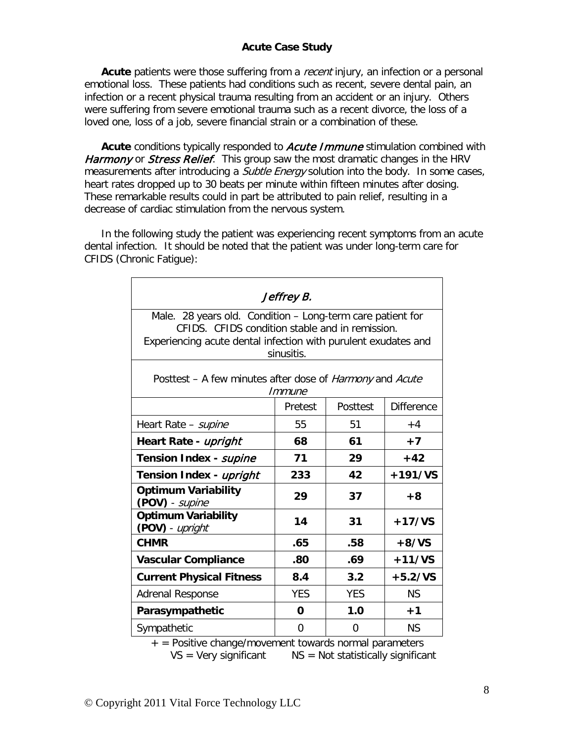# **Acute Case Study**

Acute patients were those suffering from a *recent* injury, an infection or a personal emotional loss. These patients had conditions such as recent, severe dental pain, an infection or a recent physical trauma resulting from an accident or an injury. Others were suffering from severe emotional trauma such as a recent divorce, the loss of a loved one, loss of a job, severe financial strain or a combination of these.

Acute conditions typically responded to **Acute Immune** stimulation combined with Harmony or Stress Relief. This group saw the most dramatic changes in the HRV measurements after introducing a *Subtle Energy* solution into the body. In some cases, heart rates dropped up to 30 beats per minute within fifteen minutes after dosing. These remarkable results could in part be attributed to pain relief, resulting in a decrease of cardiac stimulation from the nervous system.

In the following study the patient was experiencing recent symptoms from an acute dental infection. It should be noted that the patient was under long-term care for CFIDS (Chronic Fatigue):

| Jeffrey B.                                                                                                                                                                                    |                        |            |                   |  |  |  |
|-----------------------------------------------------------------------------------------------------------------------------------------------------------------------------------------------|------------------------|------------|-------------------|--|--|--|
| Male. 28 years old. Condition - Long-term care patient for<br>CFIDS. CFIDS condition stable and in remission.<br>Experiencing acute dental infection with purulent exudates and<br>sinusitis. |                        |            |                   |  |  |  |
| Posttest – A few minutes after dose of <i>Harmony</i> and <i>Acute</i><br>Immune                                                                                                              |                        |            |                   |  |  |  |
|                                                                                                                                                                                               | Pretest                | Posttest   | <b>Difference</b> |  |  |  |
| Heart Rate - supine                                                                                                                                                                           | 55                     | 51         | $+4$              |  |  |  |
| Heart Rate - upright                                                                                                                                                                          | 68                     | 61         | $+7$              |  |  |  |
| Tension Index - supine                                                                                                                                                                        | 71                     | 29         | $+42$             |  |  |  |
| Tension Index - upright                                                                                                                                                                       | 42<br>$+191/VS$<br>233 |            |                   |  |  |  |
| <b>Optimum Variability</b><br>(POV) - supine                                                                                                                                                  | 29<br>37<br>$+8$       |            |                   |  |  |  |
| <b>Optimum Variability</b><br>(POV) - upright                                                                                                                                                 | 14                     | 31         | $+17/VS$          |  |  |  |
| <b>CHMR</b>                                                                                                                                                                                   | .65                    | .58        | $+8/VS$           |  |  |  |
| <b>Vascular Compliance</b>                                                                                                                                                                    | .80                    | .69        | $+11/VS$          |  |  |  |
| <b>Current Physical Fitness</b>                                                                                                                                                               | 8.4                    | 3.2        | $+5.2/VS$         |  |  |  |
| <b>Adrenal Response</b>                                                                                                                                                                       | <b>YES</b>             | <b>YES</b> | <b>NS</b>         |  |  |  |
| Parasympathetic                                                                                                                                                                               | 0                      | 1.0        | $+1$              |  |  |  |
| Sympathetic                                                                                                                                                                                   | $\Omega$               | $\Omega$   | <b>NS</b>         |  |  |  |

 $+$  = Positive change/movement towards normal parameters  $VS = V$ ery significant  $NS = Not$  statistically significant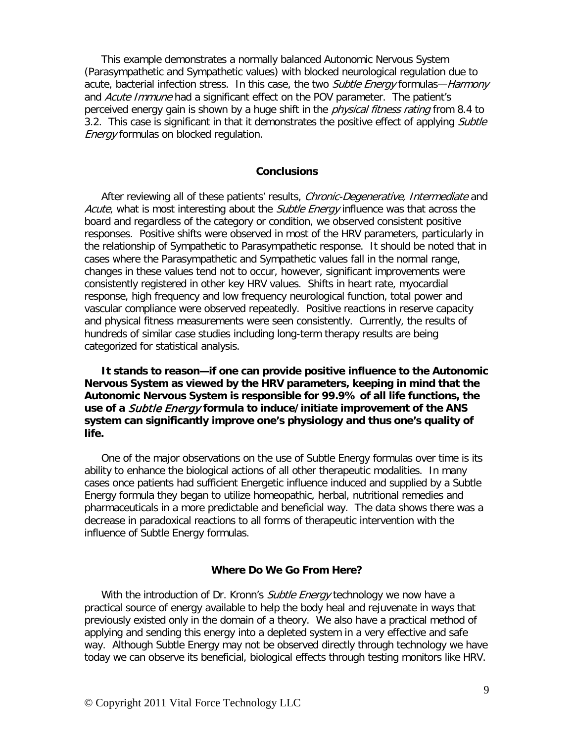This example demonstrates a normally balanced Autonomic Nervous System (Parasympathetic and Sympathetic values) with blocked neurological regulation due to acute, bacterial infection stress. In this case, the two *Subtle Energy* formulas—*Harmony* and Acute Immune had a significant effect on the POV parameter. The patient's perceived energy gain is shown by a huge shift in the *physical fitness rating* from 8.4 to 3.2. This case is significant in that it demonstrates the positive effect of applying Subtle **Energy formulas on blocked regulation.** 

#### **Conclusions**

After reviewing all of these patients' results, Chronic-Degenerative, Intermediate and Acute, what is most interesting about the Subtle Energy influence was that across the board and regardless of the category or condition, we observed consistent positive responses. Positive shifts were observed in most of the HRV parameters, particularly in the relationship of Sympathetic to Parasympathetic response. It should be noted that in cases where the Parasympathetic and Sympathetic values fall in the normal range, changes in these values tend not to occur, however, significant improvements were consistently registered in other key HRV values. Shifts in heart rate, myocardial response, high frequency and low frequency neurological function, total power and vascular compliance were observed repeatedly. Positive reactions in reserve capacity and physical fitness measurements were seen consistently. Currently, the results of hundreds of similar case studies including long-term therapy results are being categorized for statistical analysis.

**It stands to reason—if one can provide positive influence to the Autonomic Nervous System as viewed by the HRV parameters, keeping in mind that the Autonomic Nervous System is responsible for 99.9% of all life functions, the use of a** Subtle Energy **formula to induce/initiate improvement of the ANS system can significantly improve one's physiology and thus one's quality of life.**

One of the major observations on the use of Subtle Energy formulas over time is its ability to enhance the biological actions of all other therapeutic modalities. In many cases once patients had sufficient Energetic influence induced and supplied by a Subtle Energy formula they began to utilize homeopathic, herbal, nutritional remedies and pharmaceuticals in a more predictable and beneficial way. The data shows there was a decrease in paradoxical reactions to all forms of therapeutic intervention with the influence of Subtle Energy formulas.

#### **Where Do We Go From Here?**

With the introduction of Dr. Kronn's *Subtle Energy* technology we now have a practical source of energy available to help the body heal and rejuvenate in ways that previously existed only in the domain of a theory. We also have a practical method of applying and sending this energy into a depleted system in a very effective and safe way. Although Subtle Energy may not be observed directly through technology we have today we can observe its beneficial, biological effects through testing monitors like HRV.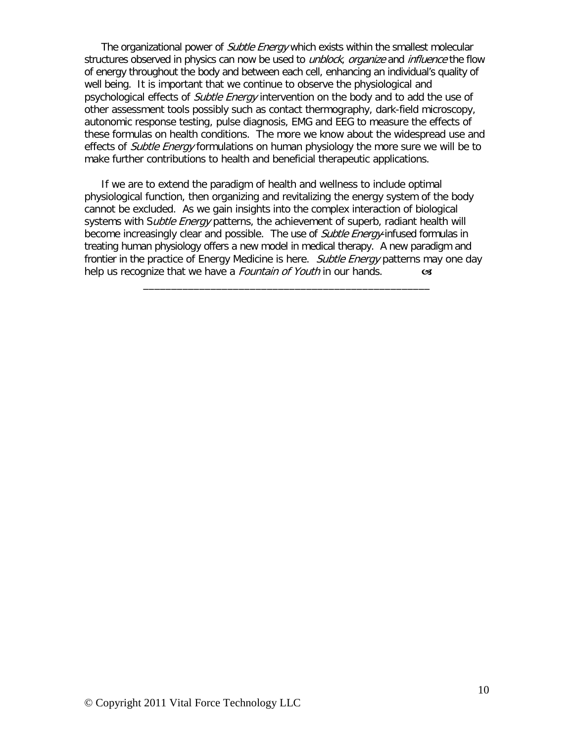The organizational power of *Subtle Energy* which exists within the smallest molecular structures observed in physics can now be used to *unblock, organize* and *influence* the flow of energy throughout the body and between each cell, enhancing an individual's quality of well being. It is important that we continue to observe the physiological and psychological effects of *Subtle Energy* intervention on the body and to add the use of other assessment tools possibly such as contact thermography, dark-field microscopy, autonomic response testing, pulse diagnosis, EMG and EEG to measure the effects of these formulas on health conditions. The more we know about the widespread use and effects of *Subtle Energy* formulations on human physiology the more sure we will be to make further contributions to health and beneficial therapeutic applications.

If we are to extend the paradigm of health and wellness to include optimal physiological function, then organizing and revitalizing the energy system of the body cannot be excluded. As we gain insights into the complex interaction of biological systems with Subtle Energy patterns, the achievement of superb, radiant health will become increasingly clear and possible. The use of *Subtle Energy*-infused formulas in treating human physiology offers a new model in medical therapy. A new paradigm and frontier in the practice of Energy Medicine is here. Subtle Energy patterns may one day help us recognize that we have a *Fountain of Youth* in our hands.

\_\_\_\_\_\_\_\_\_\_\_\_\_\_\_\_\_\_\_\_\_\_\_\_\_\_\_\_\_\_\_\_\_\_\_\_\_\_\_\_\_\_\_\_\_\_\_\_\_\_\_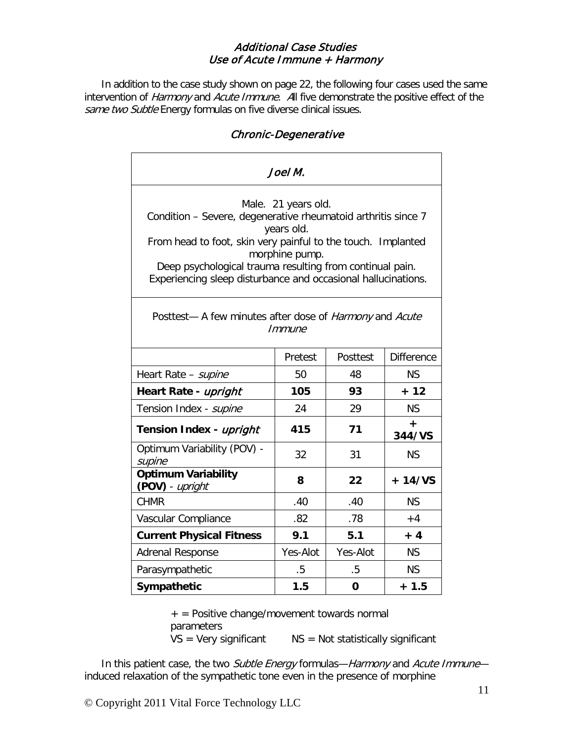# Additional Case Studies Use of Acute Immune + Harmony

In addition to the case study shown on page 22, the following four cases used the same intervention of Harmony and Acute Immune. All five demonstrate the positive effect of the same two Subtle Energy formulas on five diverse clinical issues.

# Chronic-Degenerative

| Joel M.                                                                                                                                                                                                                                                                                                           |          |             |                   |
|-------------------------------------------------------------------------------------------------------------------------------------------------------------------------------------------------------------------------------------------------------------------------------------------------------------------|----------|-------------|-------------------|
| Male. 21 years old.<br>Condition - Severe, degenerative rheumatoid arthritis since 7<br>years old.<br>From head to foot, skin very painful to the touch. Implanted<br>morphine pump.<br>Deep psychological trauma resulting from continual pain.<br>Experiencing sleep disturbance and occasional hallucinations. |          |             |                   |
| Posttest- A few minutes after dose of <i>Harmony</i> and <i>Acute</i><br>Immune                                                                                                                                                                                                                                   |          |             |                   |
|                                                                                                                                                                                                                                                                                                                   | Pretest  | Posttest    | <b>Difference</b> |
| Heart Rate - supine                                                                                                                                                                                                                                                                                               | 50       | 48          | <b>NS</b>         |
| Heart Rate - upright                                                                                                                                                                                                                                                                                              | 105      | 93          | $+ 12$            |
| Tension Index - supine                                                                                                                                                                                                                                                                                            | 24       | 29          | <b>NS</b>         |
| Tension Index - upright                                                                                                                                                                                                                                                                                           | 415      | 71          | +<br>344/VS       |
| Optimum Variability (POV) -<br>supine                                                                                                                                                                                                                                                                             | 32       | 31          | <b>NS</b>         |
| <b>Optimum Variability</b><br>(POV) - upright                                                                                                                                                                                                                                                                     | 8        | 22          | $+14/VS$          |
| <b>CHMR</b>                                                                                                                                                                                                                                                                                                       | .40      | .40         | <b>NS</b>         |
| Vascular Compliance                                                                                                                                                                                                                                                                                               | .82      | .78         | $+4$              |
| <b>Current Physical Fitness</b>                                                                                                                                                                                                                                                                                   | 9.1      | 5.1         | $+4$              |
| <b>Adrenal Response</b>                                                                                                                                                                                                                                                                                           | Yes-Alot | Yes-Alot    | <b>NS</b>         |
| Parasympathetic                                                                                                                                                                                                                                                                                                   | $.5\,$   | $.5\,$      | <b>NS</b>         |
| Sympathetic                                                                                                                                                                                                                                                                                                       | 1.5      | $\mathbf 0$ | $+1.5$            |

 $+$  = Positive change/movement towards normal parameters  $VS = Very significant$   $NS = Not statistically significant$ 

In this patient case, the two Subtle Energy formulas-Harmony and Acute Immuneinduced relaxation of the sympathetic tone even in the presence of morphine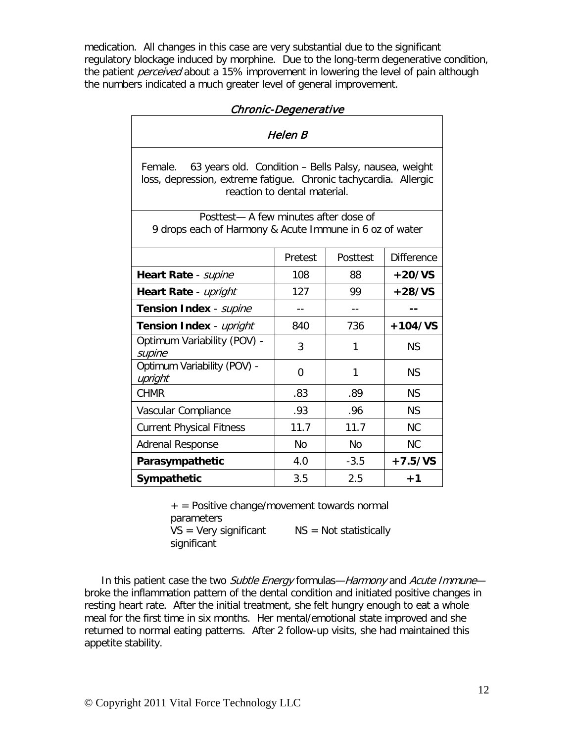medication. All changes in this case are very substantial due to the significant regulatory blockage induced by morphine. Due to the long-term degenerative condition, the patient *perceived* about a 15% improvement in lowering the level of pain although the numbers indicated a much greater level of general improvement.

| Chronic-Degenerative                                                                                                                                                 |                         |           |                   |  |  |
|----------------------------------------------------------------------------------------------------------------------------------------------------------------------|-------------------------|-----------|-------------------|--|--|
| Helen B                                                                                                                                                              |                         |           |                   |  |  |
| 63 years old. Condition - Bells Palsy, nausea, weight<br>Female.<br>loss, depression, extreme fatigue. Chronic tachycardia. Allergic<br>reaction to dental material. |                         |           |                   |  |  |
| Posttest-A few minutes after dose of<br>9 drops each of Harmony & Acute Immune in 6 oz of water                                                                      |                         |           |                   |  |  |
|                                                                                                                                                                      | Pretest                 | Posttest  | <b>Difference</b> |  |  |
| Heart Rate - supine                                                                                                                                                  | 108                     | 88        | $+20/VS$          |  |  |
| Heart Rate - upright                                                                                                                                                 | 127                     | 99        | $+28/VS$          |  |  |
| Tension Index - supine                                                                                                                                               | $- -$                   | $- -$     |                   |  |  |
| Tension Index - upright                                                                                                                                              | 736<br>$+104/VS$<br>840 |           |                   |  |  |
| Optimum Variability (POV) -<br>supine                                                                                                                                | 3                       | 1         | <b>NS</b>         |  |  |
| Optimum Variability (POV) -<br>upright                                                                                                                               | $\Omega$                | 1         | <b>NS</b>         |  |  |
| <b>CHMR</b>                                                                                                                                                          | .83                     | .89       | <b>NS</b>         |  |  |
| Vascular Compliance                                                                                                                                                  | .93                     | .96       | <b>NS</b>         |  |  |
| <b>Current Physical Fitness</b>                                                                                                                                      | 11.7                    | 11.7      | <b>NC</b>         |  |  |
| <b>Adrenal Response</b>                                                                                                                                              | <b>No</b>               | <b>No</b> | <b>NC</b>         |  |  |
| Parasympathetic                                                                                                                                                      | 4.0                     | $-3.5$    | $+7.5/VS$         |  |  |
| Sympathetic                                                                                                                                                          | 3.5                     | 2.5       | $+1$              |  |  |

 $+$  = Positive change/movement towards normal parameters  $VS = Very significant$   $NS = Not statistically$ significant

In this patient case the two Subtle Energy formulas—Harmony and Acute Immune broke the inflammation pattern of the dental condition and initiated positive changes in resting heart rate. After the initial treatment, she felt hungry enough to eat a whole meal for the first time in six months. Her mental/emotional state improved and she returned to normal eating patterns. After 2 follow-up visits, she had maintained this appetite stability.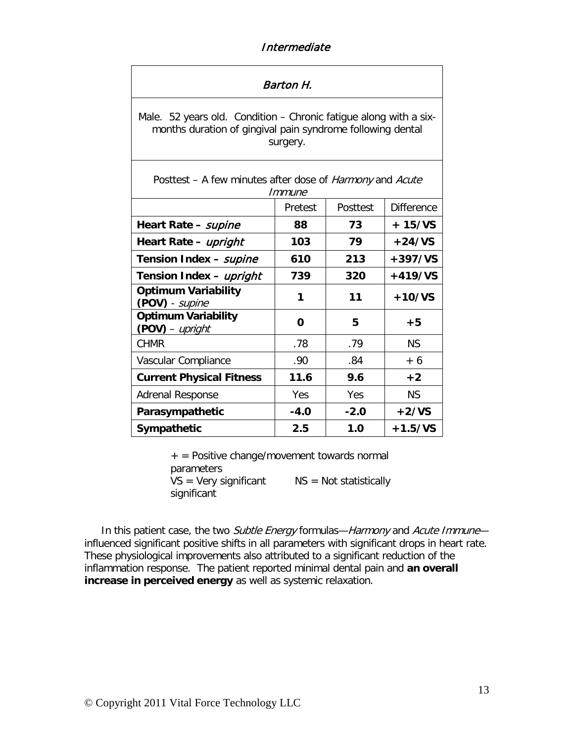# Intermediate

| Barton H.                                                                                                                                   |         |          |                   |
|---------------------------------------------------------------------------------------------------------------------------------------------|---------|----------|-------------------|
| Male. 52 years old. Condition – Chronic fatigue along with a six-<br>months duration of gingival pain syndrome following dental<br>surgery. |         |          |                   |
| Posttest – A few minutes after dose of <i>Harmony</i> and <i>Acute</i><br>Immune                                                            |         |          |                   |
|                                                                                                                                             | Pretest | Posttest | <b>Difference</b> |
| Heart Rate - supine                                                                                                                         | 88      | 73       | $+15/VS$          |
| Heart Rate - upright                                                                                                                        | 103     | 79       | $+24/VS$          |
| Tension Index - supine                                                                                                                      | 610     | 213      | $+397/VS$         |
| Tension Index - upright                                                                                                                     | 739     | 320      | $+419/VS$         |
| <b>Optimum Variability</b><br>(POV) - supine                                                                                                | 1       | 11       | $+10/VS$          |
| <b>Optimum Variability</b><br>(POV) - upright                                                                                               | 0       | 5        | $+5$              |
| <b>CHMR</b>                                                                                                                                 | .78     | .79      | <b>NS</b>         |
| Vascular Compliance                                                                                                                         | .90     | .84      | $+6$              |
| <b>Current Physical Fitness</b>                                                                                                             | 11.6    | 9.6      | $+2$              |
| <b>Adrenal Response</b>                                                                                                                     | Yes     | Yes      | <b>NS</b>         |
| Parasympathetic                                                                                                                             | $-4.0$  | $-2.0$   | $+2/VS$           |
| Sympathetic                                                                                                                                 | 2.5     | 1.0      | $+1.5/VS$         |

 $+$  = Positive change/movement towards normal parameters  $VS = V$ ery significant  $NS = Not$  statistically significant

In this patient case, the two Subtle Energy formulas—Harmony and Acute Immune influenced significant positive shifts in all parameters with significant drops in heart rate. These physiological improvements also attributed to a significant reduction of the inflammation response. The patient reported minimal dental pain and **an overall increase in perceived energy** as well as systemic relaxation.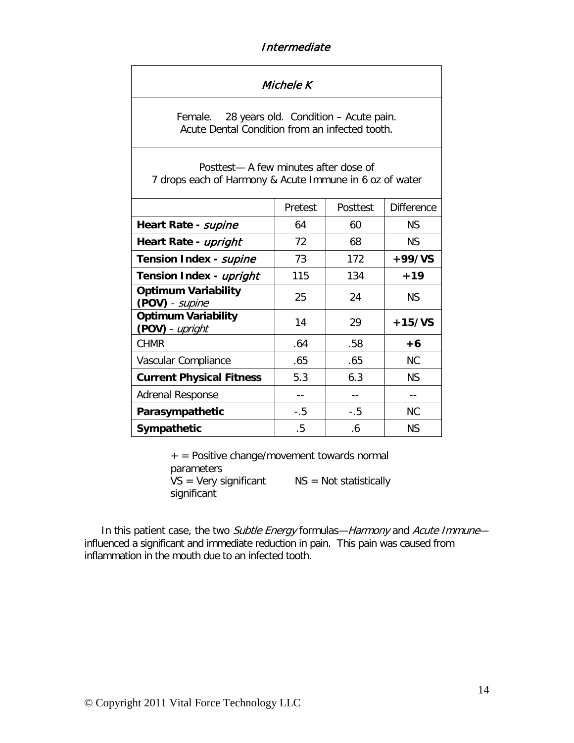# Intermediate

| Michele K                                                                                          |         |          |                   |
|----------------------------------------------------------------------------------------------------|---------|----------|-------------------|
| 28 years old. Condition - Acute pain.<br>Female.<br>Acute Dental Condition from an infected tooth. |         |          |                   |
| Posttest— A few minutes after dose of<br>7 drops each of Harmony & Acute Immune in 6 oz of water   |         |          |                   |
|                                                                                                    | Pretest | Posttest | <b>Difference</b> |
| Heart Rate - supine                                                                                | 64      | 60       | <b>NS</b>         |
| Heart Rate - upright                                                                               | 72      | 68       | <b>NS</b>         |
| Tension Index - supine                                                                             | 73      | 172      | $+99/VS$          |
| Tension Index - upright                                                                            | 115     | 134      | $+19$             |
| <b>Optimum Variability</b><br>(POV) - supine                                                       | 25      | 24       | <b>NS</b>         |
| <b>Optimum Variability</b><br>(POV) - upright                                                      | 14      | 29       | $+15/VS$          |
| <b>CHMR</b>                                                                                        | .64     | .58      | +6                |
| Vascular Compliance                                                                                | .65     | .65      | <b>NC</b>         |
| <b>Current Physical Fitness</b>                                                                    | 5.3     | 6.3      | <b>NS</b>         |
| <b>Adrenal Response</b>                                                                            | $-1$    | $- -$    | $-$               |
| Parasympathetic                                                                                    | $-.5$   | $-.5$    | <b>NC</b>         |
| Sympathetic                                                                                        | .5      | .6       | <b>NS</b>         |

+ = Positive change/movement towards normal parameters  $VS = V$ ery significant  $NS = Not$  statistically significant

In this patient case, the two Subtle Energy formulas-Harmony and Acute Immuneinfluenced a significant and immediate reduction in pain. This pain was caused from inflammation in the mouth due to an infected tooth.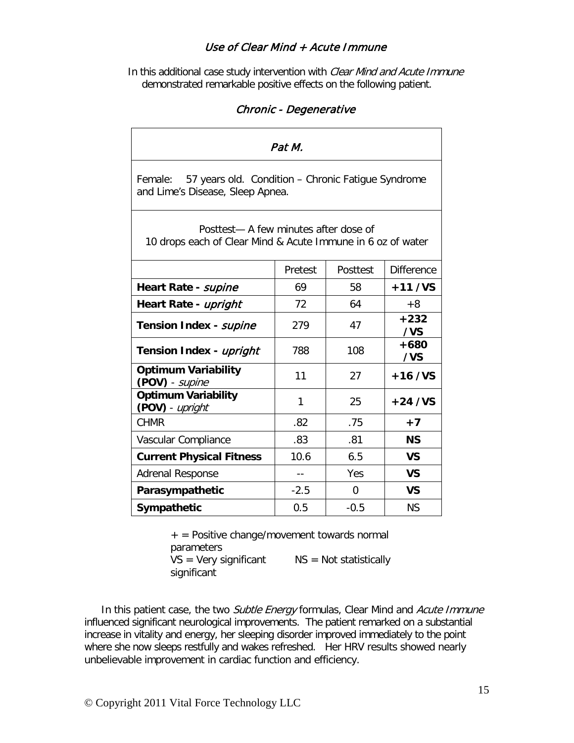## Use of Clear Mind + Acute Immune

In this additional case study intervention with Clear Mind and Acute Immune demonstrated remarkable positive effects on the following patient.

# Chronic - Degenerative

| Pat M.                                                                                               |         |          |                   |
|------------------------------------------------------------------------------------------------------|---------|----------|-------------------|
| 57 years old. Condition - Chronic Fatique Syndrome<br>Female:<br>and Lime's Disease, Sleep Apnea.    |         |          |                   |
| Posttest- A few minutes after dose of<br>10 drops each of Clear Mind & Acute Immune in 6 oz of water |         |          |                   |
|                                                                                                      | Pretest | Posttest | <b>Difference</b> |
| Heart Rate - supine                                                                                  | 69      | 58       | $+11/VS$          |
| Heart Rate - upright                                                                                 | 72      | 64       | $+8$              |
| Tension Index - supine                                                                               | 279     | 47       | $+232$<br>/VS     |
| Tension Index - upright                                                                              | 788     | 108      | $+680$<br>/VS     |
| <b>Optimum Variability</b><br>(POV) - supine                                                         | 11      | 27       | $+16$ /VS         |
| <b>Optimum Variability</b><br>(POV) - upright                                                        | 1       | 25       | $+24$ /VS         |
| <b>CHMR</b>                                                                                          | .82     | .75      | $+7$              |
| Vascular Compliance                                                                                  | .83     | .81      | <b>NS</b>         |
| <b>Current Physical Fitness</b>                                                                      | 10.6    | 6.5      | <b>VS</b>         |
| <b>Adrenal Response</b>                                                                              | $-1$    | Yes      | <b>VS</b>         |
| Parasympathetic                                                                                      | $-2.5$  | 0        | <b>VS</b>         |
| Sympathetic                                                                                          | 0.5     | $-0.5$   | <b>NS</b>         |

 $+$  = Positive change/movement towards normal parameters

 $VS = V$ ery significant  $NS = Not$  statistically significant

In this patient case, the two Subtle Energy formulas, Clear Mind and Acute Immune influenced significant neurological improvements. The patient remarked on a substantial increase in vitality and energy, her sleeping disorder improved immediately to the point where she now sleeps restfully and wakes refreshed. Her HRV results showed nearly unbelievable improvement in cardiac function and efficiency.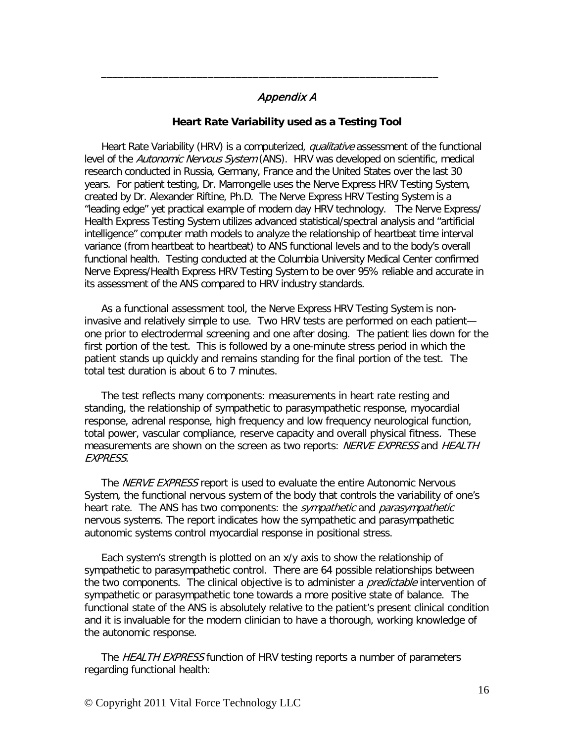# Appendix A

\_\_\_\_\_\_\_\_\_\_\_\_\_\_\_\_\_\_\_\_\_\_\_\_\_\_\_\_\_\_\_\_\_\_\_\_\_\_\_\_\_\_\_\_\_\_\_\_\_\_\_\_\_\_\_\_\_\_\_\_

### **Heart Rate Variability used as a Testing Tool**

Heart Rate Variability (HRV) is a computerized, *qualitative* assessment of the functional level of the Autonomic Nervous System (ANS). HRV was developed on scientific, medical research conducted in Russia, Germany, France and the United States over the last 30 years. For patient testing, Dr. Marrongelle uses the Nerve Express HRV Testing System, created by Dr. Alexander Riftine, Ph.D. The Nerve Express HRV Testing System is a "leading edge" yet practical example of modern day HRV technology. The Nerve Express/ Health Express Testing System utilizes advanced statistical/spectral analysis and "artificial intelligence" computer math models to analyze the relationship of heartbeat time interval variance (from heartbeat to heartbeat) to ANS functional levels and to the body's overall functional health. Testing conducted at the Columbia University Medical Center confirmed Nerve Express/Health Express HRV Testing System to be over 95% reliable and accurate in its assessment of the ANS compared to HRV industry standards.

As a functional assessment tool, the Nerve Express HRV Testing System is noninvasive and relatively simple to use. Two HRV tests are performed on each patient one prior to electrodermal screening and one after dosing. The patient lies down for the first portion of the test. This is followed by a one-minute stress period in which the patient stands up quickly and remains standing for the final portion of the test. The total test duration is about 6 to 7 minutes.

The test reflects many components: measurements in heart rate resting and standing, the relationship of sympathetic to parasympathetic response, myocardial response, adrenal response, high frequency and low frequency neurological function, total power, vascular compliance, reserve capacity and overall physical fitness. These measurements are shown on the screen as two reports: NERVE EXPRESS and HEALTH EXPRESS.

The *NERVE EXPRESS* report is used to evaluate the entire Autonomic Nervous System, the functional nervous system of the body that controls the variability of one's heart rate. The ANS has two components: the *sympathetic* and *parasympathetic* nervous systems. The report indicates how the sympathetic and parasympathetic autonomic systems control myocardial response in positional stress.

Each system's strength is plotted on an x/y axis to show the relationship of sympathetic to parasympathetic control. There are 64 possible relationships between the two components. The clinical objective is to administer a *predictable* intervention of sympathetic or parasympathetic tone towards a more positive state of balance. The functional state of the ANS is absolutely relative to the patient's present clinical condition and it is invaluable for the modern clinician to have a thorough, working knowledge of the autonomic response.

The HEALTH EXPRESS function of HRV testing reports a number of parameters regarding functional health: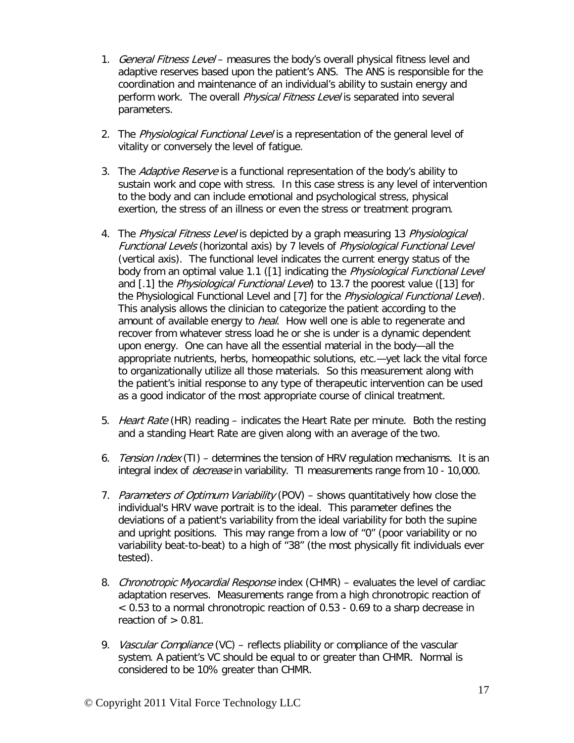- 1. General Fitness Level measures the body's overall physical fitness level and adaptive reserves based upon the patient's ANS. The ANS is responsible for the coordination and maintenance of an individual's ability to sustain energy and perform work. The overall *Physical Fitness Level* is separated into several parameters.
- 2. The Physiological Functional Level is a representation of the general level of vitality or conversely the level of fatigue.
- 3. The Adaptive Reserve is a functional representation of the body's ability to sustain work and cope with stress. In this case stress is any level of intervention to the body and can include emotional and psychological stress, physical exertion, the stress of an illness or even the stress or treatment program.
- 4. The Physical Fitness Level is depicted by a graph measuring 13 Physiological Functional Levels (horizontal axis) by 7 levels of Physiological Functional Level (vertical axis). The functional level indicates the current energy status of the body from an optimal value 1.1 ([1] indicating the *Physiological Functional Level* and [.1] the *Physiological Functional Level*) to 13.7 the poorest value ([13] for the Physiological Functional Level and [7] for the *Physiological Functional Level*). This analysis allows the clinician to categorize the patient according to the amount of available energy to *heal*. How well one is able to regenerate and recover from whatever stress load he or she is under is a dynamic dependent upon energy. One can have all the essential material in the body—all the appropriate nutrients, herbs, homeopathic solutions, etc.—yet lack the vital force to organizationally utilize all those materials. So this measurement along with the patient's initial response to any type of therapeutic intervention can be used as a good indicator of the most appropriate course of clinical treatment.
- 5. Heart Rate (HR) reading indicates the Heart Rate per minute. Both the resting and a standing Heart Rate are given along with an average of the two.
- 6. Tension Index (TI) determines the tension of HRV regulation mechanisms. It is an integral index of *decrease* in variability. TI measurements range from 10 - 10,000.
- 7. Parameters of Optimum Variability (POV) shows quantitatively how close the individual's HRV wave portrait is to the ideal. This parameter defines the deviations of a patient's variability from the ideal variability for both the supine and upright positions. This may range from a low of "0" (poor variability or no variability beat-to-beat) to a high of "38" (the most physically fit individuals ever tested).
- 8. Chronotropic Myocardial Response index (CHMR) evaluates the level of cardiac adaptation reserves. Measurements range from a high chronotropic reaction of < 0.53 to a normal chronotropic reaction of 0.53 - 0.69 to a sharp decrease in reaction of  $> 0.81$ .
- 9. Vascular Compliance (VC) reflects pliability or compliance of the vascular system. A patient's VC should be equal to or greater than CHMR. Normal is considered to be 10% greater than CHMR.